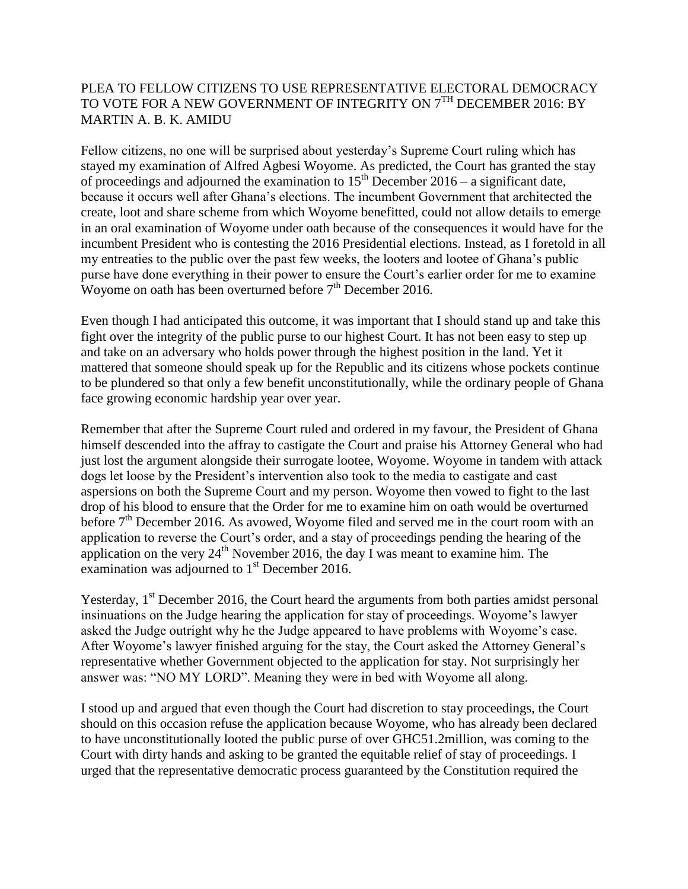## PLEA TO FELLOW CITIZENS TO USE REPRESENTATIVE ELECTORAL DEMOCRACY TO VOTE FOR A NEW GOVERNMENT OF INTEGRITY ON 7<sup>TH</sup> DECEMBER 2016: BY MARTIN A. B. K. AMIDU

Fellow citizens, no one will be surprised about yesterday's Supreme Court ruling which has stayed my examination of Alfred Agbesi Woyome. As predicted, the Court has granted the stay of proceedings and adjourned the examination to  $15<sup>th</sup>$  December 2016 – a significant date, because it occurs well after Ghana's elections. The incumbent Government that architected the create, loot and share scheme from which Woyome benefitted, could not allow details to emerge in an oral examination of Woyome under oath because of the consequences it would have for the incumbent President who is contesting the 2016 Presidential elections. Instead, as I foretold in all my entreaties to the public over the past few weeks, the looters and lootee of Ghana's public purse have done everything in their power to ensure the Court's earlier order for me to examine Woyome on oath has been overturned before  $7<sup>th</sup>$  December 2016.

Even though I had anticipated this outcome, it was important that I should stand up and take this fight over the integrity of the public purse to our highest Court. It has not been easy to step up and take on an adversary who holds power through the highest position in the land. Yet it mattered that someone should speak up for the Republic and its citizens whose pockets continue to be plundered so that only a few benefit unconstitutionally, while the ordinary people of Ghana face growing economic hardship year over year.

Remember that after the Supreme Court ruled and ordered in my favour, the President of Ghana himself descended into the affray to castigate the Court and praise his Attorney General who had just lost the argument alongside their surrogate lootee, Woyome. Woyome in tandem with attack dogs let loose by the President's intervention also took to the media to castigate and cast aspersions on both the Supreme Court and my person. Woyome then vowed to fight to the last drop of his blood to ensure that the Order for me to examine him on oath would be overturned before 7<sup>th</sup> December 2016. As avowed, Woyome filed and served me in the court room with an application to reverse the Court's order, and a stay of proceedings pending the hearing of the application on the very  $24<sup>th</sup>$  November 2016, the day I was meant to examine him. The examination was adjourned to  $1<sup>st</sup>$  December 2016.

Yesterday,  $1<sup>st</sup>$  December 2016, the Court heard the arguments from both parties amidst personal insinuations on the Judge hearing the application for stay of proceedings. Woyome's lawyer asked the Judge outright why he the Judge appeared to have problems with Woyome's case. After Woyome's lawyer finished arguing for the stay, the Court asked the Attorney General's representative whether Government objected to the application for stay. Not surprisingly her answer was: "NO MY LORD". Meaning they were in bed with Woyome all along.

I stood up and argued that even though the Court had discretion to stay proceedings, the Court should on this occasion refuse the application because Woyome, who has already been declared to have unconstitutionally looted the public purse of over GHC51.2million, was coming to the Court with dirty hands and asking to be granted the equitable relief of stay of proceedings. I urged that the representative democratic process guaranteed by the Constitution required the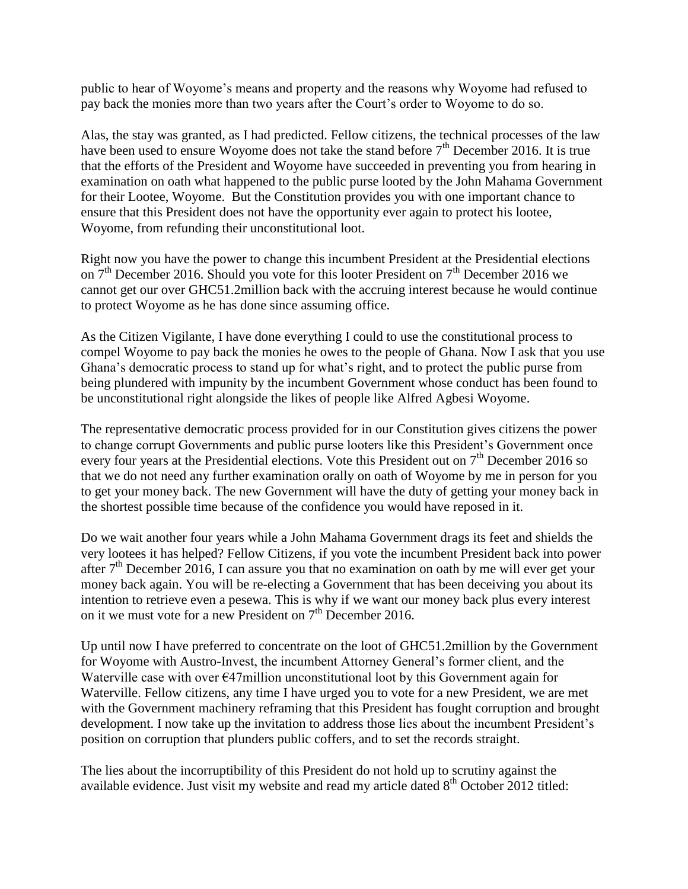public to hear of Woyome's means and property and the reasons why Woyome had refused to pay back the monies more than two years after the Court's order to Woyome to do so.

Alas, the stay was granted, as I had predicted. Fellow citizens, the technical processes of the law have been used to ensure Woyome does not take the stand before  $7<sup>th</sup>$  December 2016. It is true that the efforts of the President and Woyome have succeeded in preventing you from hearing in examination on oath what happened to the public purse looted by the John Mahama Government for their Lootee, Woyome. But the Constitution provides you with one important chance to ensure that this President does not have the opportunity ever again to protect his lootee, Woyome, from refunding their unconstitutional loot.

Right now you have the power to change this incumbent President at the Presidential elections on  $7<sup>th</sup>$  December 2016. Should you vote for this looter President on  $7<sup>th</sup>$  December 2016 we cannot get our over GHC51.2million back with the accruing interest because he would continue to protect Woyome as he has done since assuming office.

As the Citizen Vigilante, I have done everything I could to use the constitutional process to compel Woyome to pay back the monies he owes to the people of Ghana. Now I ask that you use Ghana's democratic process to stand up for what's right, and to protect the public purse from being plundered with impunity by the incumbent Government whose conduct has been found to be unconstitutional right alongside the likes of people like Alfred Agbesi Woyome.

The representative democratic process provided for in our Constitution gives citizens the power to change corrupt Governments and public purse looters like this President's Government once every four years at the Presidential elections. Vote this President out on  $7<sup>th</sup>$  December 2016 so that we do not need any further examination orally on oath of Woyome by me in person for you to get your money back. The new Government will have the duty of getting your money back in the shortest possible time because of the confidence you would have reposed in it.

Do we wait another four years while a John Mahama Government drags its feet and shields the very lootees it has helped? Fellow Citizens, if you vote the incumbent President back into power after  $7<sup>th</sup>$  December 2016, I can assure you that no examination on oath by me will ever get your money back again. You will be re-electing a Government that has been deceiving you about its intention to retrieve even a pesewa. This is why if we want our money back plus every interest on it we must vote for a new President on  $7<sup>th</sup>$  December 2016.

Up until now I have preferred to concentrate on the loot of GHC51.2million by the Government for Woyome with Austro-Invest, the incumbent Attorney General's former client, and the Waterville case with over  $E47$ million unconstitutional loot by this Government again for Waterville. Fellow citizens, any time I have urged you to vote for a new President, we are met with the Government machinery reframing that this President has fought corruption and brought development. I now take up the invitation to address those lies about the incumbent President's position on corruption that plunders public coffers, and to set the records straight.

The lies about the incorruptibility of this President do not hold up to scrutiny against the available evidence. Just visit my website and read my article dated  $8<sup>th</sup>$  October 2012 titled: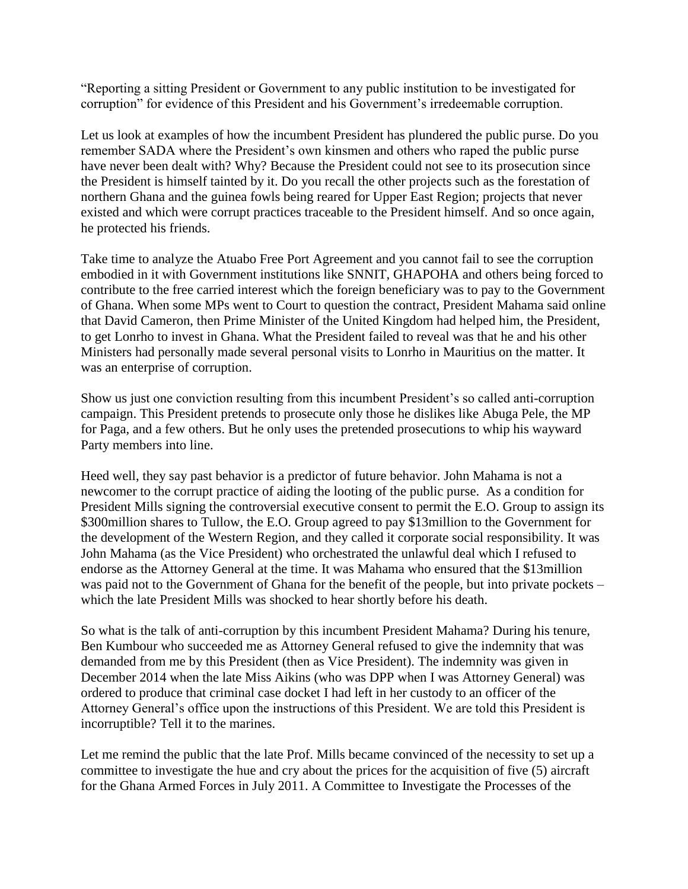"Reporting a sitting President or Government to any public institution to be investigated for corruption" for evidence of this President and his Government's irredeemable corruption.

Let us look at examples of how the incumbent President has plundered the public purse. Do you remember SADA where the President's own kinsmen and others who raped the public purse have never been dealt with? Why? Because the President could not see to its prosecution since the President is himself tainted by it. Do you recall the other projects such as the forestation of northern Ghana and the guinea fowls being reared for Upper East Region; projects that never existed and which were corrupt practices traceable to the President himself. And so once again, he protected his friends.

Take time to analyze the Atuabo Free Port Agreement and you cannot fail to see the corruption embodied in it with Government institutions like SNNIT, GHAPOHA and others being forced to contribute to the free carried interest which the foreign beneficiary was to pay to the Government of Ghana. When some MPs went to Court to question the contract, President Mahama said online that David Cameron, then Prime Minister of the United Kingdom had helped him, the President, to get Lonrho to invest in Ghana. What the President failed to reveal was that he and his other Ministers had personally made several personal visits to Lonrho in Mauritius on the matter. It was an enterprise of corruption.

Show us just one conviction resulting from this incumbent President's so called anti-corruption campaign. This President pretends to prosecute only those he dislikes like Abuga Pele, the MP for Paga, and a few others. But he only uses the pretended prosecutions to whip his wayward Party members into line.

Heed well, they say past behavior is a predictor of future behavior. John Mahama is not a newcomer to the corrupt practice of aiding the looting of the public purse. As a condition for President Mills signing the controversial executive consent to permit the E.O. Group to assign its \$300 million shares to Tullow, the E.O. Group agreed to pay \$13 million to the Government for the development of the Western Region, and they called it corporate social responsibility. It was John Mahama (as the Vice President) who orchestrated the unlawful deal which I refused to endorse as the Attorney General at the time. It was Mahama who ensured that the \$13million was paid not to the Government of Ghana for the benefit of the people, but into private pockets – which the late President Mills was shocked to hear shortly before his death.

So what is the talk of anti-corruption by this incumbent President Mahama? During his tenure, Ben Kumbour who succeeded me as Attorney General refused to give the indemnity that was demanded from me by this President (then as Vice President). The indemnity was given in December 2014 when the late Miss Aikins (who was DPP when I was Attorney General) was ordered to produce that criminal case docket I had left in her custody to an officer of the Attorney General's office upon the instructions of this President. We are told this President is incorruptible? Tell it to the marines.

Let me remind the public that the late Prof. Mills became convinced of the necessity to set up a committee to investigate the hue and cry about the prices for the acquisition of five (5) aircraft for the Ghana Armed Forces in July 2011. A Committee to Investigate the Processes of the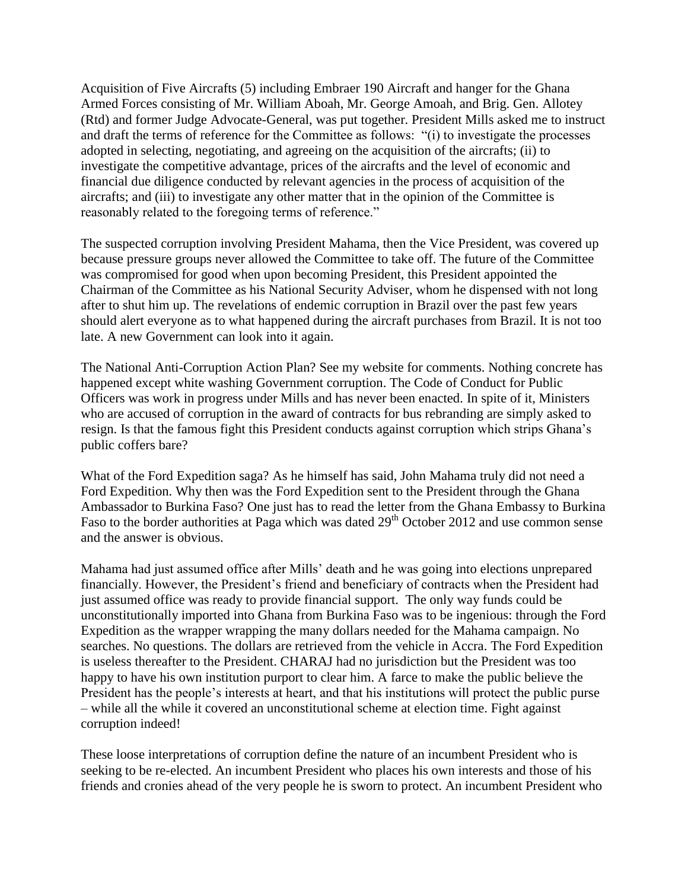Acquisition of Five Aircrafts (5) including Embraer 190 Aircraft and hanger for the Ghana Armed Forces consisting of Mr. William Aboah, Mr. George Amoah, and Brig. Gen. Allotey (Rtd) and former Judge Advocate-General, was put together. President Mills asked me to instruct and draft the terms of reference for the Committee as follows: "(i) to investigate the processes adopted in selecting, negotiating, and agreeing on the acquisition of the aircrafts; (ii) to investigate the competitive advantage, prices of the aircrafts and the level of economic and financial due diligence conducted by relevant agencies in the process of acquisition of the aircrafts; and (iii) to investigate any other matter that in the opinion of the Committee is reasonably related to the foregoing terms of reference."

The suspected corruption involving President Mahama, then the Vice President, was covered up because pressure groups never allowed the Committee to take off. The future of the Committee was compromised for good when upon becoming President, this President appointed the Chairman of the Committee as his National Security Adviser, whom he dispensed with not long after to shut him up. The revelations of endemic corruption in Brazil over the past few years should alert everyone as to what happened during the aircraft purchases from Brazil. It is not too late. A new Government can look into it again.

The National Anti-Corruption Action Plan? See my website for comments. Nothing concrete has happened except white washing Government corruption. The Code of Conduct for Public Officers was work in progress under Mills and has never been enacted. In spite of it, Ministers who are accused of corruption in the award of contracts for bus rebranding are simply asked to resign. Is that the famous fight this President conducts against corruption which strips Ghana's public coffers bare?

What of the Ford Expedition saga? As he himself has said, John Mahama truly did not need a Ford Expedition. Why then was the Ford Expedition sent to the President through the Ghana Ambassador to Burkina Faso? One just has to read the letter from the Ghana Embassy to Burkina Faso to the border authorities at Paga which was dated 29<sup>th</sup> October 2012 and use common sense and the answer is obvious.

Mahama had just assumed office after Mills' death and he was going into elections unprepared financially. However, the President's friend and beneficiary of contracts when the President had just assumed office was ready to provide financial support. The only way funds could be unconstitutionally imported into Ghana from Burkina Faso was to be ingenious: through the Ford Expedition as the wrapper wrapping the many dollars needed for the Mahama campaign. No searches. No questions. The dollars are retrieved from the vehicle in Accra. The Ford Expedition is useless thereafter to the President. CHARAJ had no jurisdiction but the President was too happy to have his own institution purport to clear him. A farce to make the public believe the President has the people's interests at heart, and that his institutions will protect the public purse – while all the while it covered an unconstitutional scheme at election time. Fight against corruption indeed!

These loose interpretations of corruption define the nature of an incumbent President who is seeking to be re-elected. An incumbent President who places his own interests and those of his friends and cronies ahead of the very people he is sworn to protect. An incumbent President who